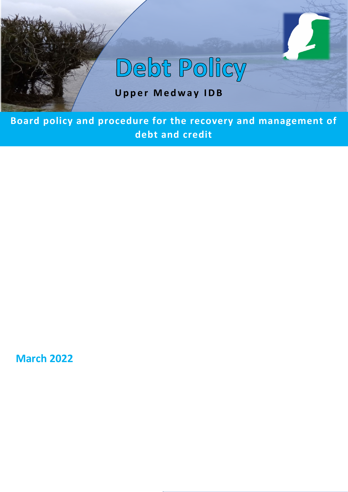# Debt Policy

# **Upper Medway IDB**

**Board policy and procedure for the recovery and management of debt and credit**

**March 2022**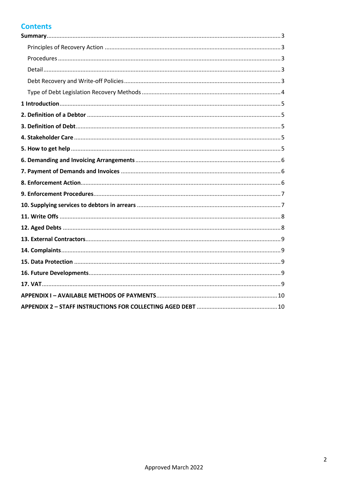# **Contents**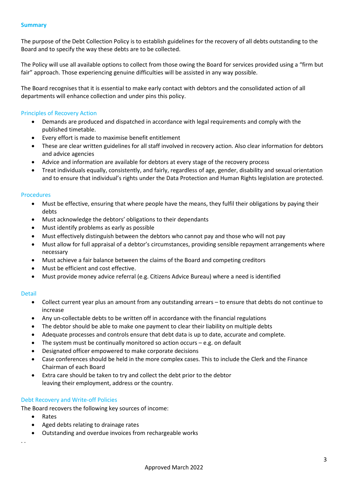<span id="page-2-0"></span>The purpose of the Debt Collection Policy is to establish guidelines for the recovery of all debts outstanding to the Board and to specify the way these debts are to be collected.

The Policy will use all available options to collect from those owing the Board for services provided using a "firm but fair" approach. Those experiencing genuine difficulties will be assisted in any way possible.

The Board recognises that it is essential to make early contact with debtors and the consolidated action of all departments will enhance collection and under pins this policy.

# <span id="page-2-1"></span>Principles of Recovery Action

- Demands are produced and dispatched in accordance with legal requirements and comply with the published timetable.
- Every effort is made to maximise benefit entitlement
- These are clear written guidelines for all staff involved in recovery action. Also clear information for debtors and advice agencies
- Advice and information are available for debtors at every stage of the recovery process
- Treat individuals equally, consistently, and fairly, regardless of age, gender, disability and sexual orientation and to ensure that individual's rights under the Data Protection and Human Rights legislation are protected.

#### <span id="page-2-2"></span>Procedures

- Must be effective, ensuring that where people have the means, they fulfil their obligations by paying their debts
- Must acknowledge the debtors' obligations to their dependants
- Must identify problems as early as possible
- Must effectively distinguish between the debtors who cannot pay and those who will not pay
- Must allow for full appraisal of a debtor's circumstances, providing sensible repayment arrangements where necessary
- Must achieve a fair balance between the claims of the Board and competing creditors
- Must be efficient and cost effective.
- Must provide money advice referral (e.g. Citizens Advice Bureau) where a need is identified

# <span id="page-2-3"></span>Detail

- Collect current year plus an amount from any outstanding arrears to ensure that debts do not continue to increase
- Any un-collectable debts to be written off in accordance with the financial regulations
- The debtor should be able to make one payment to clear their liability on multiple debts
- Adequate processes and controls ensure that debt data is up to date, accurate and complete.
- The system must be continually monitored so action occurs  $-e.g.$  on default
- Designated officer empowered to make corporate decisions
- Case conferences should be held in the more complex cases. This to include the Clerk and the Finance Chairman of each Board
- Extra care should be taken to try and collect the debt prior to the debtor leaving their employment, address or the country.

# <span id="page-2-4"></span>Debt Recovery and Write-off Policies

The Board recovers the following key sources of income:

- Rates
- Aged debts relating to drainage rates
- Outstanding and overdue invoices from rechargeable works

. .

Approved March 2022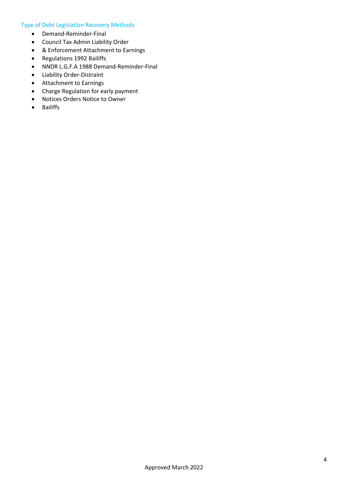# <span id="page-3-0"></span>Type of Debt Legislation Recovery Methods

- Demand-Reminder-Final
- Council Tax Admin Liability Order
- & Enforcement Attachment to Earnings
- Regulations 1992 Bailiffs
- NNDR L.G.F.A 1988 Demand-Reminder-Final
- Liability Order-Distraint
- Attachment to Earnings
- Charge Regulation for early payment
- Notices Orders Notice to Owner
- Bailiffs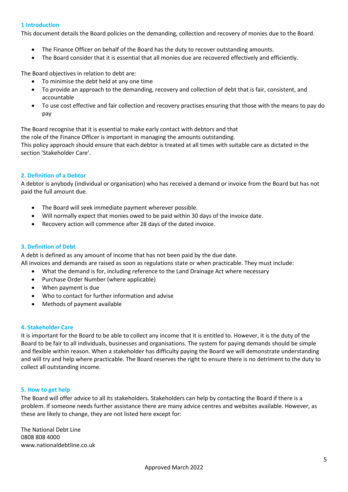# <span id="page-4-0"></span>**1 Introduction**

This document details the Board policies on the demanding, collection and recovery of monies due to the Board.

- The Finance Officer on behalf of the Board has the duty to recover outstanding amounts.
- The Board consider that it is essential that all monies due are recovered effectively and efficiently.

The Board objectives in relation to debt are:

- To minimise the debt held at any one time
- To provide an approach to the demanding, recovery and collection of debt that is fair, consistent, and accountable
- To use cost effective and fair collection and recovery practises ensuring that those with the means to pay do pay

The Board recognise that it is essential to make early contact with debtors and that the role of the Finance Officer is important in managing the amounts outstanding. This policy approach should ensure that each debtor is treated at all times with suitable care as dictated in the section 'Stakeholder Care'.

# <span id="page-4-1"></span>**2. Definition of a Debtor**

A debtor is anybody (individual or organisation) who has received a demand or invoice from the Board but has not paid the full amount due.

- The Board will seek immediate payment wherever possible.
- Will normally expect that monies owed to be paid within 30 days of the invoice date.
- Recovery action will commence after 28 days of the dated invoice.

# <span id="page-4-2"></span>**3. Definition of Debt**

A debt is defined as any amount of income that has not been paid by the due date. All invoices and demands are raised as soon as regulations state or when practicable. They must include:

- What the demand is for, including reference to the Land Drainage Act where necessary
- Purchase Order Number (where applicable)
- When payment is due
- Who to contact for further information and advise
- Methods of payment available

# <span id="page-4-3"></span>**4. Stakeholder Care**

It is important for the Board to be able to collect any income that it is entitled to. However, it is the duty of the Board to be fair to all individuals, businesses and organisations. The system for paying demands should be simple and flexible within reason. When a stakeholder has difficulty paying the Board we will demonstrate understanding and will try and help where practicable. The Board reserves the right to ensure there is no detriment to the duty to collect all outstanding income.

# <span id="page-4-4"></span>**5. How to get help**

The Board will offer advice to all its stakeholders. Stakeholders can help by contacting the Board if there is a problem. If someone needs further assistance there are many advice centres and websites available. However, as these are likely to change, they are not listed here except for:

The National Debt Line 0808 808 4000 www.nationaldebtline.co.uk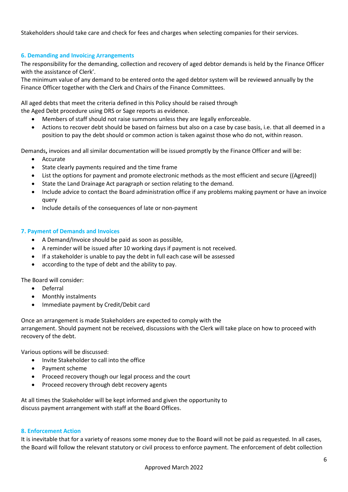Stakeholders should take care and check for fees and charges when selecting companies for their services.

# <span id="page-5-0"></span>**6. Demanding and Invoic**ing A**rrangements**

The responsibility for the demanding, collection and recovery of aged debtor demands is held by the Finance Officer with the assistance of Clerk'.

The minimum value of any demand to be entered onto the aged debtor system will be reviewed annually by the Finance Officer together with the Clerk and Chairs of the Finance Committees.

All aged debts that meet the criteria defined in this Policy should be raised through the Aged Debt procedure using DRS or Sage reports as evidence.

- Members of staff should not raise summons unless they are legally enforceable.
- Actions to recover debt should be based on fairness but also on a case by case basis, i.e. that all deemed in a position to pay the debt should or common action is taken against those who do not, within reason.

Demands**,** invoices and all similar documentation will be issued promptly by the Finance Officer and will be:

- Accurate
- State clearly payments required and the time frame
- List the options for payment and promote electronic methods as the most efficient and secure ((Agreed))
- State the Land Drainage Act paragraph or section relating to the demand.
- Include advice to contact the Board administration office if any problems making payment or have an invoice query
- Include details of the consequences of late or non-payment

# <span id="page-5-1"></span>**7. Payment of Demands and Invoices**

- A Demand/Invoice should be paid as soon as possible,
- A reminder will be issued after 10 working days if payment is not received.
- If a stakeholder is unable to pay the debt in full each case will be assessed
- according to the type of debt and the ability to pay.

The Board will consider:

- Deferral
- Monthly instalments
- Immediate payment by Credit/Debit card

Once an arrangement is made Stakeholders are expected to comply with the arrangement. Should payment not be received, discussions with the Clerk will take place on how to proceed with recovery of the debt.

Various options will be discussed:

- Invite Stakeholder to call into the office
- Payment scheme
- Proceed recovery though our legal process and the court
- Proceed recovery through debt recovery agents

At all times the Stakeholder will be kept informed and given the opportunity to discuss payment arrangement with staff at the Board Offices.

# <span id="page-5-2"></span>**8. Enforcement Action**

It is inevitable that for a variety of reasons some money due to the Board will not be paid as requested. In all cases, the Board will follow the relevant statutory or civil process to enforce payment. The enforcement of debt collection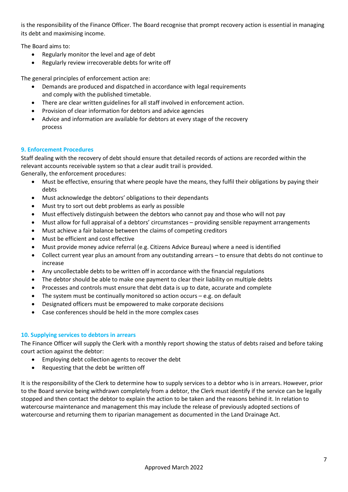is the responsibility of the Finance Officer. The Board recognise that prompt recovery action is essential in managing its debt and maximising income.

The Board aims to:

- Regularly monitor the level and age of debt
- Regularly review irrecoverable debts for write off

The general principles of enforcement action are:

- Demands are produced and dispatched in accordance with legal requirements and comply with the published timetable.
- There are clear written guidelines for all staff involved in enforcement action.
- Provision of clear information for debtors and advice agencies
- Advice and information are available for debtors at every stage of the recovery process

# <span id="page-6-0"></span>**9. Enforcement Procedures**

Staff dealing with the recovery of debt should ensure that detailed records of actions are recorded within the relevant accounts receivable system so that a clear audit trail is provided. Generally, the enforcement procedures:

- Must be effective, ensuring that where people have the means, they fulfil their obligations by paying their debts
- Must acknowledge the debtors' obligations to their dependants
- Must try to sort out debt problems as early as possible
- Must effectively distinguish between the debtors who cannot pay and those who will not pay
- Must allow for full appraisal of a debtors' circumstances providing sensible repayment arrangements
- Must achieve a fair balance between the claims of competing creditors
- Must be efficient and cost effective
- Must provide money advice referral (e.g. Citizens Advice Bureau) where a need is identified
- Collect current year plus an amount from any outstanding arrears to ensure that debts do not continue to increase
- Any uncollectable debts to be written off in accordance with the financial regulations
- The debtor should be able to make one payment to clear their liability on multiple debts
- Processes and controls must ensure that debt data is up to date, accurate and complete
- The system must be continually monitored so action occurs e.g. on default
- Designated officers must be empowered to make corporate decisions
- Case conferences should be held in the more complex cases

# <span id="page-6-1"></span>**10. Supplying services to debtors in arrears**

The Finance Officer will supply the Clerk with a monthly report showing the status of debts raised and before taking court action against the debtor:

- Employing debt collection agents to recover the debt
- Requesting that the debt be written off

It is the responsibility of the Clerk to determine how to supply services to a debtor who is in arrears. However, prior to the Board service being withdrawn completely from a debtor, the Clerk must identify if the service can be legally stopped and then contact the debtor to explain the action to be taken and the reasons behind it. In relation to watercourse maintenance and management this may include the release of previously adopted sections of watercourse and returning them to riparian management as documented in the Land Drainage Act.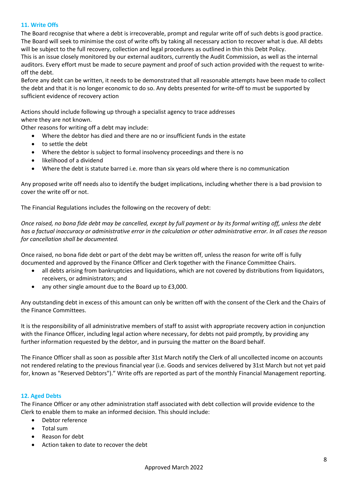# <span id="page-7-0"></span>**11. Write Offs**

The Board recognise that where a debt is irrecoverable, prompt and regular write off of such debts is good practice. The Board will seek to minimise the cost of write offs by taking all necessary action to recover what is due. All debts will be subject to the full recovery, collection and legal procedures as outlined in thin this Debt Policy.

This is an issue closely monitored by our external auditors, currently the Audit Commission, as well as the internal auditors. Every effort must be made to secure payment and proof of such action provided with the request to writeoff the debt.

Before any debt can be written, it needs to be demonstrated that all reasonable attempts have been made to collect the debt and that it is no longer economic to do so. Any debts presented for write-off to must be supported by sufficient evidence of recovery action

Actions should include following up through a specialist agency to trace addresses where they are not known.

Other reasons for writing off a debt may include:

- Where the debtor has died and there are no or insufficient funds in the estate
- to settle the debt
- Where the debtor is subject to formal insolvency proceedings and there is no
- likelihood of a dividend
- Where the debt is statute barred i.e. more than six years old where there is no communication

Any proposed write off needs also to identify the budget implications, including whether there is a bad provision to cover the write off or not.

The Financial Regulations includes the following on the recovery of debt:

*Once raised, no bona fide debt may be cancelled, except by full payment or by its formal writing off, unless the debt has a factual inaccuracy or administrative error in the calculation or other administrative error. In all cases the reason for cancellation shall be documented.*

Once raised, no bona fide debt or part of the debt may be written off, unless the reason for write off is fully documented and approved by the Finance Officer and Clerk together with the Finance Committee Chairs.

- all debts arising from bankruptcies and liquidations, which are not covered by distributions from liquidators, receivers, or administrators; and
- any other single amount due to the Board up to £3,000.

Any outstanding debt in excess of this amount can only be written off with the consent of the Clerk and the Chairs of the Finance Committees.

It is the responsibility of all administrative members of staff to assist with appropriate recovery action in conjunction with the Finance Officer, including legal action where necessary, for debts not paid promptly, by providing any further information requested by the debtor, and in pursuing the matter on the Board behalf.

The Finance Officer shall as soon as possible after 31st March notify the Clerk of all uncollected income on accounts not rendered relating to the previous financial year (i.e. Goods and services delivered by 31st March but not yet paid for, known as "Reserved Debtors")." Write offs are reported as part of the monthly Financial Management reporting.

# <span id="page-7-1"></span>**12. Aged Debts**

The Finance Officer or any other administration staff associated with debt collection will provide evidence to the Clerk to enable them to make an informed decision. This should include:

- Debtor reference
- Total sum
- Reason for debt
- Action taken to date to recover the debt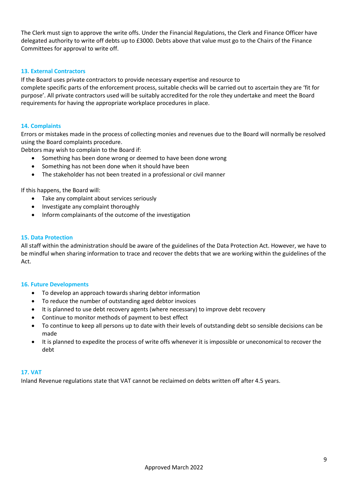The Clerk must sign to approve the write offs. Under the Financial Regulations, the Clerk and Finance Officer have delegated authority to write off debts up to £3000. Debts above that value must go to the Chairs of the Finance Committees for approval to write off.

# <span id="page-8-0"></span>**13. External Contractors**

If the Board uses private contractors to provide necessary expertise and resource to

complete specific parts of the enforcement process, suitable checks will be carried out to ascertain they are 'fit for purpose'. All private contractors used will be suitably accredited for the role they undertake and meet the Board requirements for having the appropriate workplace procedures in place.

# <span id="page-8-1"></span>**14. Complaints**

Errors or mistakes made in the process of collecting monies and revenues due to the Board will normally be resolved using the Board complaints procedure.

Debtors may wish to complain to the Board if:

- Something has been done wrong or deemed to have been done wrong
- Something has not been done when it should have been
- The stakeholder has not been treated in a professional or civil manner

If this happens, the Board will:

- Take any complaint about services seriously
- Investigate any complaint thoroughly
- Inform complainants of the outcome of the investigation

#### <span id="page-8-2"></span>**15. Data Protection**

All staff within the administration should be aware of the guidelines of the Data Protection Act. However, we have to be mindful when sharing information to trace and recover the debts that we are working within the guidelines of the Act.

#### <span id="page-8-3"></span>**16. Future Developments**

- To develop an approach towards sharing debtor information
- To reduce the number of outstanding aged debtor invoices
- It is planned to use debt recovery agents (where necessary) to improve debt recovery
- Continue to monitor methods of payment to best effect
- To continue to keep all persons up to date with their levels of outstanding debt so sensible decisions can be made
- It is planned to expedite the process of write offs whenever it is impossible or uneconomical to recover the debt

# <span id="page-8-4"></span>**17. VAT**

Inland Revenue regulations state that VAT cannot be reclaimed on debts written off after 4.5 years.